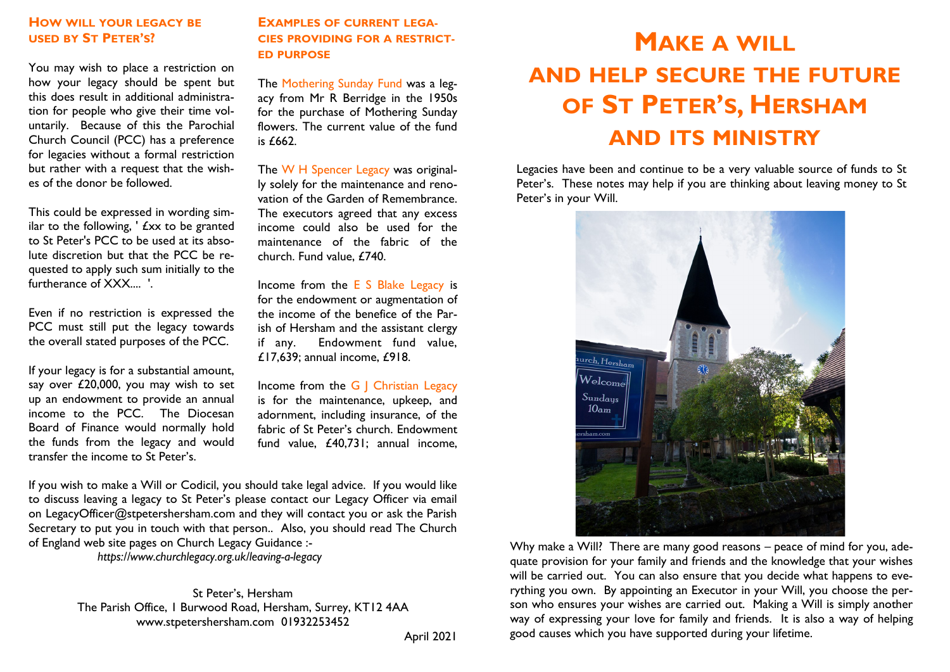# **HOW WILL YOUR LEGACY BE USED BY ST PETER'S?**

You may wish to place a restriction on how your legacy should be spent but this does result in additional administration for people who give their time voluntarily. Because of this the Parochial Church Council (PCC) has a preference for legacies without a formal restriction but rather with a request that the wishes of the donor be followed.

This could be expressed in wording similar to the following, ' £xx to be granted to St Peter's PCC to be used at its absolute discretion but that the PCC be requested to apply such sum initially to the furtherance of XXX.... '.

Even if no restriction is expressed the PCC must still put the legacy towards the overall stated purposes of the PCC.

If your legacy is for a substantial amount, say over £20,000, you may wish to set up an endowment to provide an annual income to the PCC. The Diocesan Board of Finance would normally hold the funds from the legacy and would transfer the income to St Peter's.

**EXAMPLES OF CURRENT LEGA-CIES PROVIDING FOR A RESTRICT-ED PURPOSE**

The Mothering Sunday Fund was a legacy from Mr R Berridge in the 1950s for the purchase of Mothering Sunday flowers. The current value of the fund is  $f662$ .

The W H Spencer Legacy was originally solely for the maintenance and renovation of the Garden of Remembrance. The executors agreed that any excess income could also be used for the maintenance of the fabric of the church. Fund value, £740.

Income from the E S Blake Legacy is for the endowment or augmentation of the income of the benefice of the Parish of Hersham and the assistant clergy if any. Endowment fund value, £17,639; annual income, £918.

Income from the G | Christian Legacy is for the maintenance, upkeep, and adornment, including insurance, of the fabric of St Peter's church. Endowment fund value, £40,731; annual income,

If you wish to make a Will or Codicil, you should take legal advice. If you would like to discuss leaving a legacy to St Peter's please contact our Legacy Officer via email on LegacyOfficer@stpetershersham.com and they will contact you or ask the Parish Secretary to put you in touch with that person.. Also, you should read The Church of England web site pages on Church Legacy Guidance :-

 *https://www.churchlegacy.org.uk/leaving-a-legacy*

St Peter's, Hersham The Parish Office, 1 Burwood Road, Hersham, Surrey, KT12 4AA www.stpetershersham.com 01932253452

# **MAKE A WILL AND HELP SECURE THE FUTURE OF ST PETER'S, HERSHAM AND ITS MINISTRY**

Legacies have been and continue to be a very valuable source of funds to St Peter's. These notes may help if you are thinking about leaving money to St Peter's in your Will.



Why make a Will? There are many good reasons – peace of mind for you, adequate provision for your family and friends and the knowledge that your wishes will be carried out. You can also ensure that you decide what happens to everything you own. By appointing an Executor in your Will, you choose the person who ensures your wishes are carried out. Making a Will is simply another way of expressing your love for family and friends. It is also a way of helping good causes which you have supported during your lifetime.